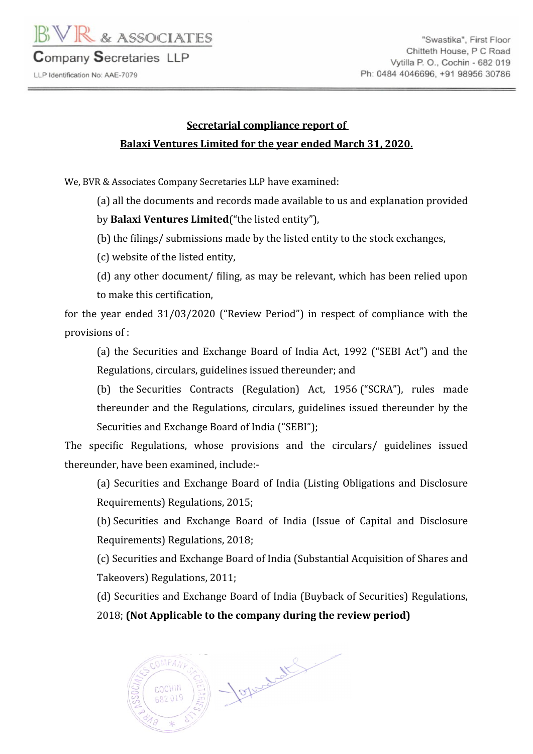

LLP Identification No: AAE-7079

## **Secretarial compliance report of Balaxi Ventures Limited for the year ended March 31, 2020.**

We, BVR & Associates Company Secretaries LLP have examined:

(a) all the documents and records made available to us and explanation provided

by **Balaxi Ventures Limited**("the listed entity"),

(b) the filings/ submissions made by the listed entity to the stock exchanges,

(c) website of the listed entity,

(d) any other document/ filing, as may be relevant, which has been relied upon to make this certification,

for the year ended 31/03/2020 ("Review Period") in respect of compliance with the provisions of :

(a) the Securities and Exchange Board of India Act, 1992 ("SEBI Act") and the Regulations, circulars, guidelines issued thereunder; and

(b) the Securities Contracts (Regulation) Act, 1956 ("SCRA"), rules made thereunder and the Regulations, circulars, guidelines issued thereunder by the Securities and Exchange Board of India ("SEBI");

The specific Regulations, whose provisions and the circulars/ guidelines issued thereunder, have been examined, include:-

(a) Securities and Exchange Board of India (Listing Obligations and Disclosure Requirements) Regulations, 2015;

(b) Securities and Exchange Board of India (Issue of Capital and Disclosure Requirements) Regulations, 2018;

(c) Securities and Exchange Board of India (Substantial Acquisition of Shares and Takeovers) Regulations, 2011;

(d) Securities and Exchange Board of India (Buyback of Securities) Regulations,

2018; **(Not Applicable to the company during the review period)**

Jopandet  $OMPAV$ COCHIN  $32019$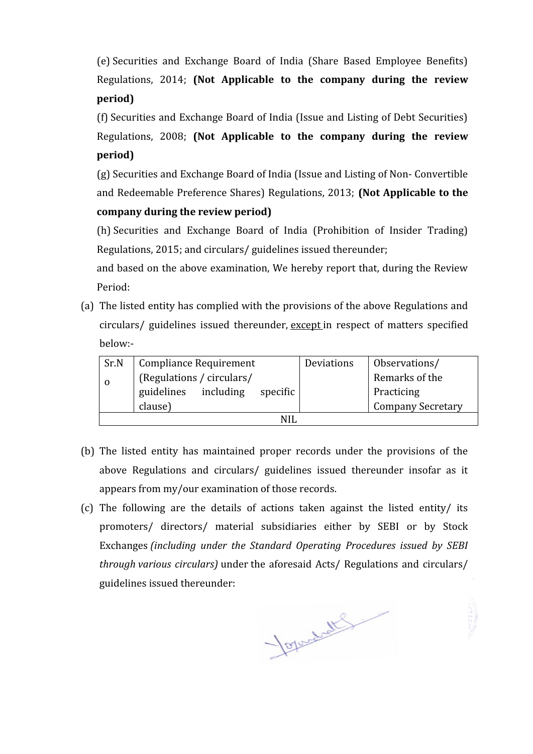(e) Securities and Exchange Board of India (Share Based Employee Benefits) Regulations, 2014; **(Not Applicable to the company during the review period)**

(f) Securities and Exchange Board of India (Issue and Listing of Debt Securities) Regulations, 2008; **(Not Applicable to the company during the review period)**

(g) Securities and Exchange Board of India (Issue and Listing of Non- Convertible and Redeemable Preference Shares) Regulations, 2013; **(Not Applicable to the company during the review period)**

(h) Securities and Exchange Board of India (Prohibition of Insider Trading) Regulations, 2015; and circulars/ guidelines issued thereunder;

and based on the above examination, We hereby report that, during the Review Period:

(a) The listed entity has complied with the provisions of the above Regulations and circulars/ guidelines issued thereunder, except in respect of matters specified below:-

| Sr.N | <b>Compliance Requirement</b>       | Deviations | Observations/            |  |  |  |  |
|------|-------------------------------------|------------|--------------------------|--|--|--|--|
|      | (Regulations / circulars/           |            | Remarks of the           |  |  |  |  |
|      | including<br>guidelines<br>specific |            | Practicing               |  |  |  |  |
|      | clause)                             |            | <b>Company Secretary</b> |  |  |  |  |
|      |                                     |            |                          |  |  |  |  |

- (b) The listed entity has maintained proper records under the provisions of the above Regulations and circulars/ guidelines issued thereunder insofar as it appears from my/our examination of those records.
- (c) The following are the details of actions taken against the listed entity/ its promoters/ directors/ material subsidiaries either by SEBI or by Stock Exchanges *(including under the Standard Operating Procedures issued by SEBI through various circulars)* under the aforesaid Acts/ Regulations and circulars/ guidelines issued thereunder:

Joguetall